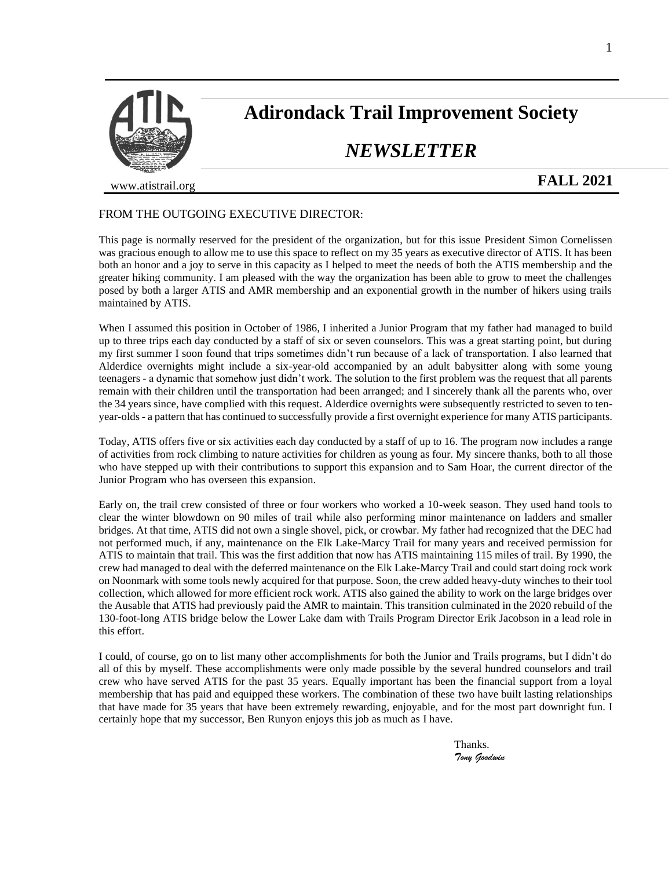

# **Adirondack Trail Improvement Society**

## *NEWSLETTER*

www.atistrail.org

### **FALL 2021**

#### FROM THE OUTGOING EXECUTIVE DIRECTOR:

This page is normally reserved for the president of the organization, but for this issue President Simon Cornelissen was gracious enough to allow me to use this space to reflect on my 35 years as executive director of ATIS. It has been both an honor and a joy to serve in this capacity as I helped to meet the needs of both the ATIS membership and the greater hiking community. I am pleased with the way the organization has been able to grow to meet the challenges posed by both a larger ATIS and AMR membership and an exponential growth in the number of hikers using trails maintained by ATIS.

When I assumed this position in October of 1986, I inherited a Junior Program that my father had managed to build up to three trips each day conducted by a staff of six or seven counselors. This was a great starting point, but during my first summer I soon found that trips sometimes didn't run because of a lack of transportation. I also learned that Alderdice overnights might include a six-year-old accompanied by an adult babysitter along with some young teenagers - a dynamic that somehow just didn't work. The solution to the first problem was the request that all parents remain with their children until the transportation had been arranged; and I sincerely thank all the parents who, over the 34 years since, have complied with this request. Alderdice overnights were subsequently restricted to seven to tenyear-olds - a pattern that has continued to successfully provide a first overnight experience for many ATIS participants.

Today, ATIS offers five or six activities each day conducted by a staff of up to 16. The program now includes a range of activities from rock climbing to nature activities for children as young as four. My sincere thanks, both to all those who have stepped up with their contributions to support this expansion and to Sam Hoar, the current director of the Junior Program who has overseen this expansion.

Early on, the trail crew consisted of three or four workers who worked a 10-week season. They used hand tools to clear the winter blowdown on 90 miles of trail while also performing minor maintenance on ladders and smaller bridges. At that time, ATIS did not own a single shovel, pick, or crowbar. My father had recognized that the DEC had not performed much, if any, maintenance on the Elk Lake-Marcy Trail for many years and received permission for ATIS to maintain that trail. This was the first addition that now has ATIS maintaining 115 miles of trail. By 1990, the crew had managed to deal with the deferred maintenance on the Elk Lake-Marcy Trail and could start doing rock work on Noonmark with some tools newly acquired for that purpose. Soon, the crew added heavy-duty winches to their tool collection, which allowed for more efficient rock work. ATIS also gained the ability to work on the large bridges over the Ausable that ATIS had previously paid the AMR to maintain. This transition culminated in the 2020 rebuild of the 130-foot-long ATIS bridge below the Lower Lake dam with Trails Program Director Erik Jacobson in a lead role in this effort.

I could, of course, go on to list many other accomplishments for both the Junior and Trails programs, but I didn't do all of this by myself. These accomplishments were only made possible by the several hundred counselors and trail crew who have served ATIS for the past 35 years. Equally important has been the financial support from a loyal membership that has paid and equipped these workers. The combination of these two have built lasting relationships that have made for 35 years that have been extremely rewarding, enjoyable, and for the most part downright fun. I certainly hope that my successor, Ben Runyon enjoys this job as much as I have.

> Thanks. *Tony Goodwin*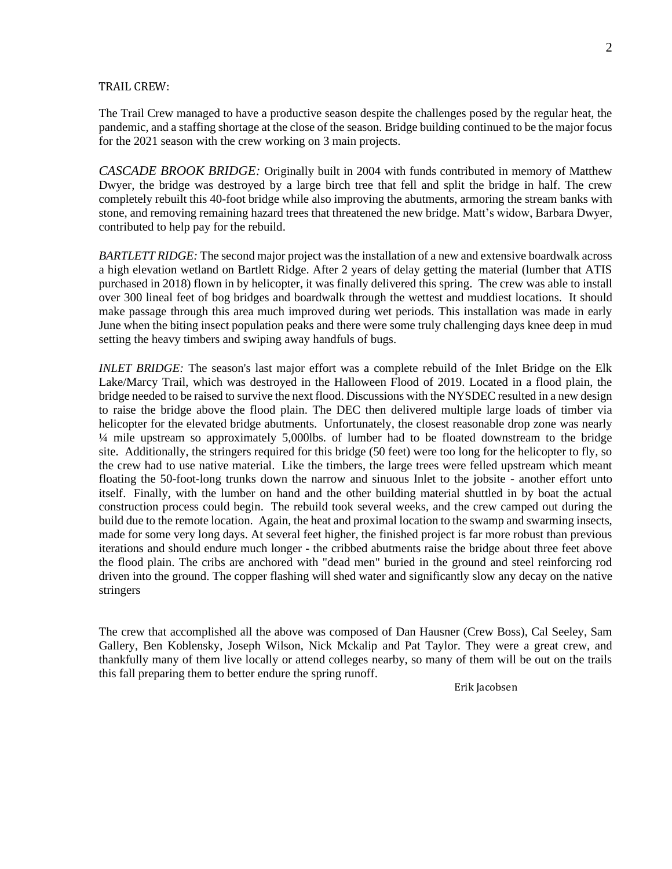#### TRAIL CREW:

The Trail Crew managed to have a productive season despite the challenges posed by the regular heat, the pandemic, and a staffing shortage at the close of the season. Bridge building continued to be the major focus for the 2021 season with the crew working on 3 main projects.

*CASCADE BROOK BRIDGE:* Originally built in 2004 with funds contributed in memory of Matthew Dwyer, the bridge was destroyed by a large birch tree that fell and split the bridge in half. The crew completely rebuilt this 40-foot bridge while also improving the abutments, armoring the stream banks with stone, and removing remaining hazard trees that threatened the new bridge. Matt's widow, Barbara Dwyer, contributed to help pay for the rebuild.

*BARTLETT RIDGE:* The second major project was the installation of a new and extensive boardwalk across a high elevation wetland on Bartlett Ridge. After 2 years of delay getting the material (lumber that ATIS purchased in 2018) flown in by helicopter, it was finally delivered this spring. The crew was able to install over 300 lineal feet of bog bridges and boardwalk through the wettest and muddiest locations. It should make passage through this area much improved during wet periods. This installation was made in early June when the biting insect population peaks and there were some truly challenging days knee deep in mud setting the heavy timbers and swiping away handfuls of bugs.

*INLET BRIDGE:* The season's last major effort was a complete rebuild of the Inlet Bridge on the Elk Lake/Marcy Trail, which was destroyed in the Halloween Flood of 2019. Located in a flood plain, the bridge needed to be raised to survive the next flood. Discussions with the NYSDEC resulted in a new design to raise the bridge above the flood plain. The DEC then delivered multiple large loads of timber via helicopter for the elevated bridge abutments. Unfortunately, the closest reasonable drop zone was nearly ¼ mile upstream so approximately 5,000lbs. of lumber had to be floated downstream to the bridge site. Additionally, the stringers required for this bridge (50 feet) were too long for the helicopter to fly, so the crew had to use native material. Like the timbers, the large trees were felled upstream which meant floating the 50-foot-long trunks down the narrow and sinuous Inlet to the jobsite - another effort unto itself. Finally, with the lumber on hand and the other building material shuttled in by boat the actual construction process could begin. The rebuild took several weeks, and the crew camped out during the build due to the remote location. Again, the heat and proximal location to the swamp and swarming insects, made for some very long days. At several feet higher, the finished project is far more robust than previous iterations and should endure much longer - the cribbed abutments raise the bridge about three feet above the flood plain. The cribs are anchored with "dead men" buried in the ground and steel reinforcing rod driven into the ground. The copper flashing will shed water and significantly slow any decay on the native stringers

The crew that accomplished all the above was composed of Dan Hausner (Crew Boss), Cal Seeley, Sam Gallery, Ben Koblensky, Joseph Wilson, Nick Mckalip and Pat Taylor. They were a great crew, and thankfully many of them live locally or attend colleges nearby, so many of them will be out on the trails this fall preparing them to better endure the spring runoff.

Erik Jacobsen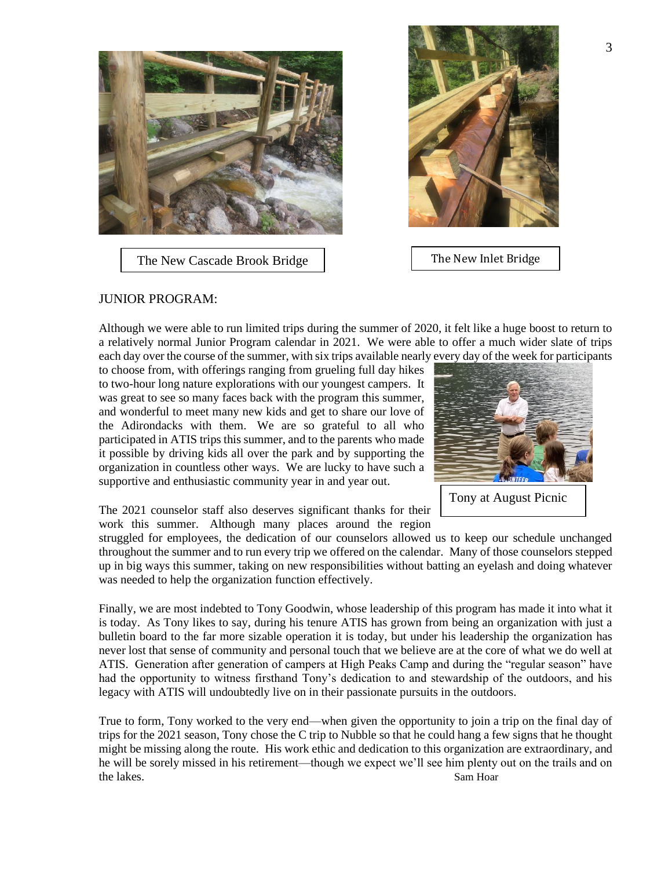

The New Cascade Brook Bridge



The New Inlet Bridge

#### JUNIOR PROGRAM:

Although we were able to run limited trips during the summer of 2020, it felt like a huge boost to return to a relatively normal Junior Program calendar in 2021. We were able to offer a much wider slate of trips each day over the course of the summer, with six trips available nearly every day of the week for participants

to choose from, with offerings ranging from grueling full day hikes to two-hour long nature explorations with our youngest campers. It was great to see so many faces back with the program this summer, and wonderful to meet many new kids and get to share our love of the Adirondacks with them. We are so grateful to all who participated in ATIS trips this summer, and to the parents who made it possible by driving kids all over the park and by supporting the organization in countless other ways. We are lucky to have such a supportive and enthusiastic community year in and year out.



Tony at August Picnic

The 2021 counselor staff also deserves significant thanks for their work this summer. Although many places around the region

struggled for employees, the dedication of our counselors allowed us to keep our schedule unchanged throughout the summer and to run every trip we offered on the calendar. Many of those counselors stepped up in big ways this summer, taking on new responsibilities without batting an eyelash and doing whatever was needed to help the organization function effectively.

Finally, we are most indebted to Tony Goodwin, whose leadership of this program has made it into what it is today. As Tony likes to say, during his tenure ATIS has grown from being an organization with just a bulletin board to the far more sizable operation it is today, but under his leadership the organization has never lost that sense of community and personal touch that we believe are at the core of what we do well at ATIS. Generation after generation of campers at High Peaks Camp and during the "regular season" have had the opportunity to witness firsthand Tony's dedication to and stewardship of the outdoors, and his legacy with ATIS will undoubtedly live on in their passionate pursuits in the outdoors.

True to form, Tony worked to the very end—when given the opportunity to join a trip on the final day of trips for the 2021 season, Tony chose the C trip to Nubble so that he could hang a few signs that he thought might be missing along the route. His work ethic and dedication to this organization are extraordinary, and he will be sorely missed in his retirement—though we expect we'll see him plenty out on the trails and on the lakes. Sam Hoar